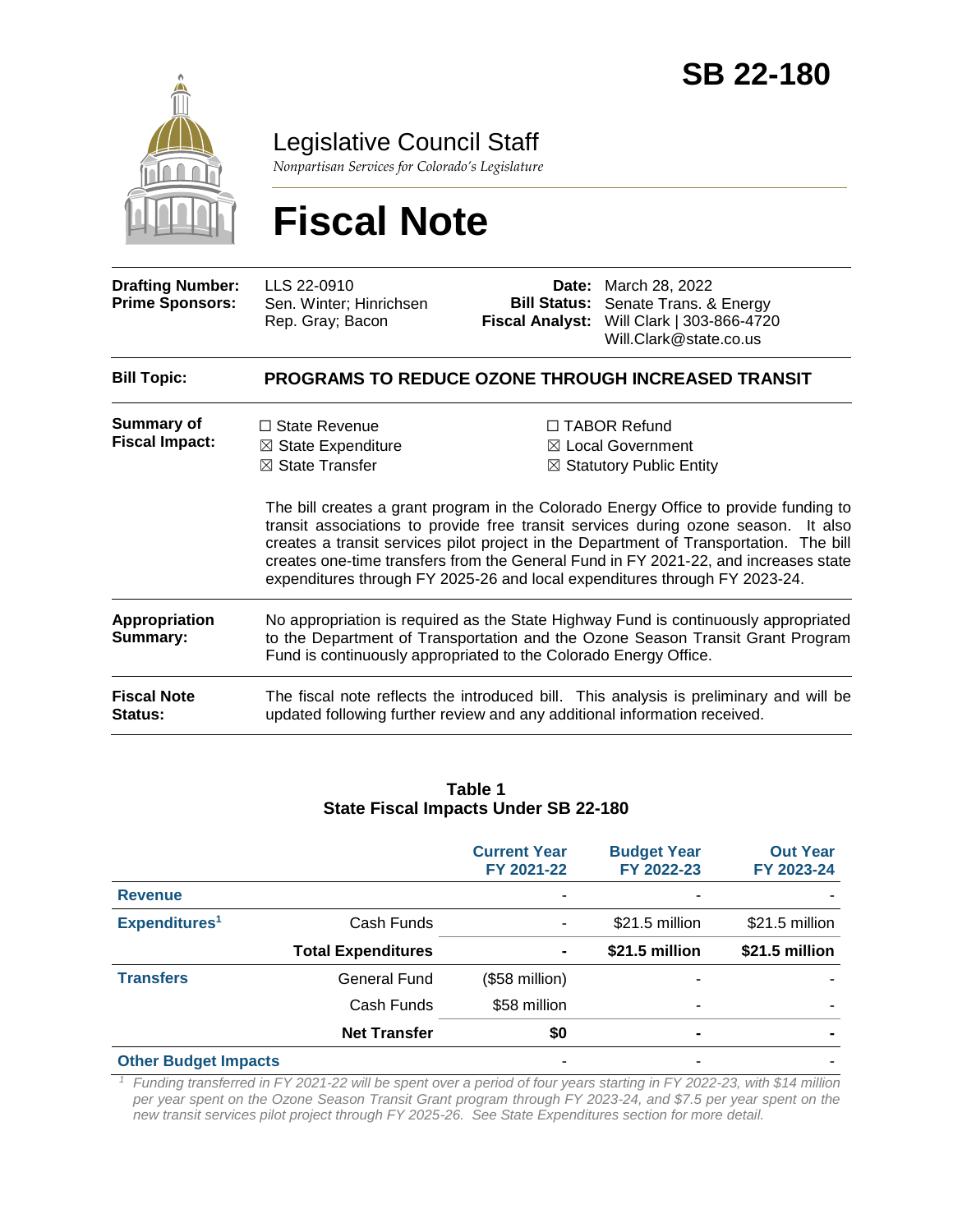

Legislative Council Staff

*Nonpartisan Services for Colorado's Legislature*

# **Fiscal Note**

| <b>Drafting Number:</b><br><b>Prime Sponsors:</b> | LLS 22-0910<br>Sen. Winter; Hinrichsen<br>Rep. Gray; Bacon                                                                                                                                                                                                                                                                                                                                                                                | <b>Fiscal Analyst:</b> | <b>Date:</b> March 28, 2022<br><b>Bill Status:</b> Senate Trans. & Energy<br>Will Clark   303-866-4720<br>Will.Clark@state.co.us |
|---------------------------------------------------|-------------------------------------------------------------------------------------------------------------------------------------------------------------------------------------------------------------------------------------------------------------------------------------------------------------------------------------------------------------------------------------------------------------------------------------------|------------------------|----------------------------------------------------------------------------------------------------------------------------------|
| <b>Bill Topic:</b>                                |                                                                                                                                                                                                                                                                                                                                                                                                                                           |                        | <b>PROGRAMS TO REDUCE OZONE THROUGH INCREASED TRANSIT</b>                                                                        |
| Summary of<br><b>Fiscal Impact:</b>               | $\Box$ State Revenue<br>$\boxtimes$ State Expenditure                                                                                                                                                                                                                                                                                                                                                                                     |                        | $\Box$ TABOR Refund<br>⊠ Local Government                                                                                        |
|                                                   | $\boxtimes$ State Transfer                                                                                                                                                                                                                                                                                                                                                                                                                |                        | $\boxtimes$ Statutory Public Entity                                                                                              |
|                                                   | The bill creates a grant program in the Colorado Energy Office to provide funding to<br>transit associations to provide free transit services during ozone season. It also<br>creates a transit services pilot project in the Department of Transportation. The bill<br>creates one-time transfers from the General Fund in FY 2021-22, and increases state<br>expenditures through FY 2025-26 and local expenditures through FY 2023-24. |                        |                                                                                                                                  |
| <b>Appropriation</b><br>Summary:                  | No appropriation is required as the State Highway Fund is continuously appropriated<br>to the Department of Transportation and the Ozone Season Transit Grant Program<br>Fund is continuously appropriated to the Colorado Energy Office.                                                                                                                                                                                                 |                        |                                                                                                                                  |
| <b>Fiscal Note</b><br>Status:                     | updated following further review and any additional information received.                                                                                                                                                                                                                                                                                                                                                                 |                        | The fiscal note reflects the introduced bill. This analysis is preliminary and will be                                           |
|                                                   |                                                                                                                                                                                                                                                                                                                                                                                                                                           |                        |                                                                                                                                  |

#### **Table 1 State Fiscal Impacts Under SB 22-180**

|                             |                           | <b>Current Year</b><br>FY 2021-22 | <b>Budget Year</b><br>FY 2022-23 | <b>Out Year</b><br>FY 2023-24 |
|-----------------------------|---------------------------|-----------------------------------|----------------------------------|-------------------------------|
| <b>Revenue</b>              |                           |                                   |                                  |                               |
| Expenditures <sup>1</sup>   | Cash Funds                | ۰                                 | \$21.5 million                   | \$21.5 million                |
|                             | <b>Total Expenditures</b> | $\blacksquare$                    | \$21.5 million                   | \$21.5 million                |
| <b>Transfers</b>            | <b>General Fund</b>       | (\$58 million)                    |                                  |                               |
|                             | Cash Funds                | \$58 million                      |                                  |                               |
|                             | <b>Net Transfer</b>       | \$0                               |                                  |                               |
| <b>Other Budget Impacts</b> |                           | ۰                                 |                                  |                               |

*<sup>1</sup> Funding transferred in FY 2021-22 will be spent over a period of four years starting in FY 2022-23, with \$14 million per year spent on the Ozone Season Transit Grant program through FY 2023-24, and \$7.5 per year spent on the new transit services pilot project through FY 2025-26. See State Expenditures section for more detail.*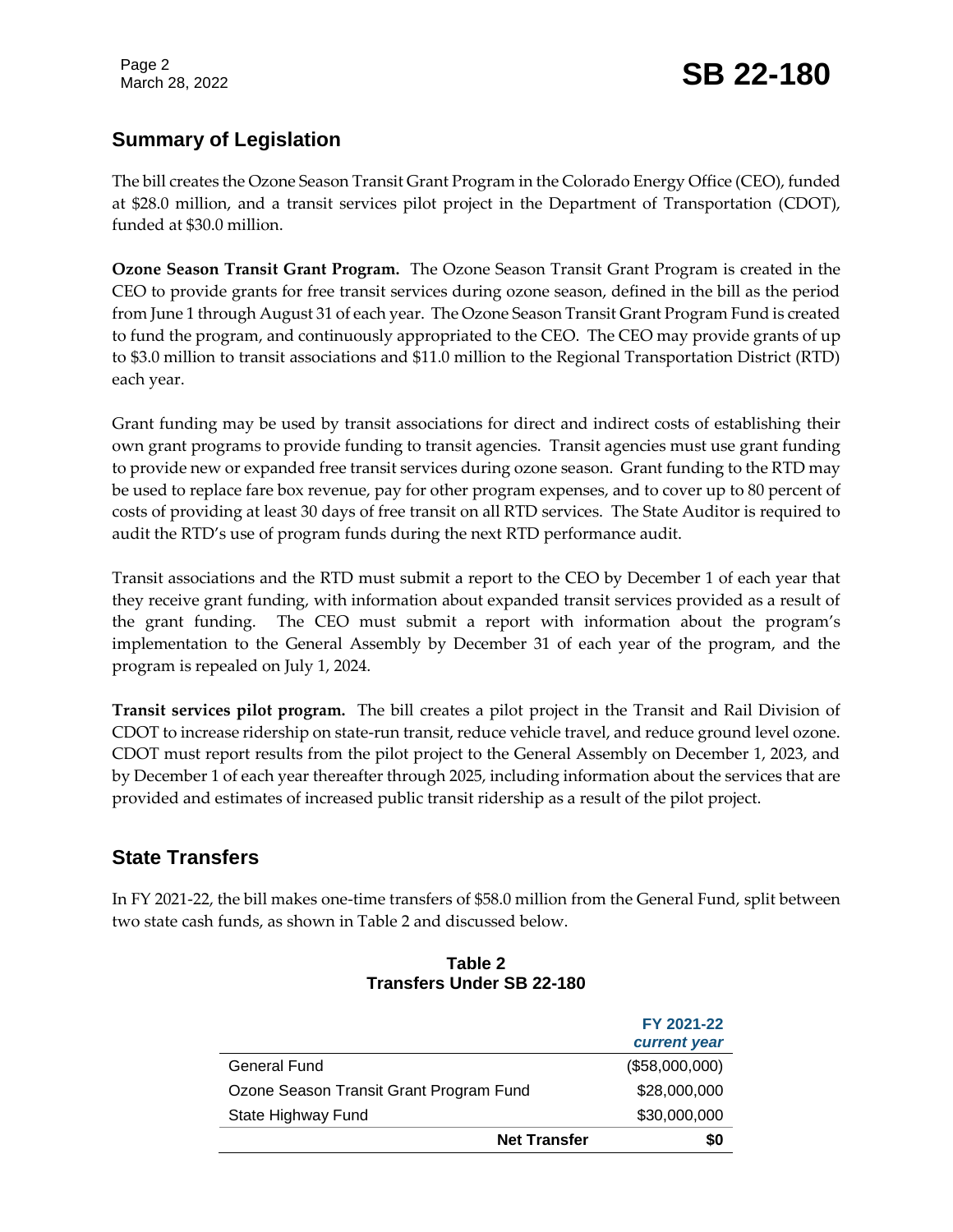Page 2

## Page 2<br>March 28, 2022 **SB 22-180**

## **Summary of Legislation**

The bill creates the Ozone Season Transit Grant Program in the Colorado Energy Office (CEO), funded at \$28.0 million, and a transit services pilot project in the Department of Transportation (CDOT), funded at \$30.0 million.

**Ozone Season Transit Grant Program.** The Ozone Season Transit Grant Program is created in the CEO to provide grants for free transit services during ozone season, defined in the bill as the period from June 1 through August 31 of each year. The Ozone Season Transit Grant Program Fund is created to fund the program, and continuously appropriated to the CEO. The CEO may provide grants of up to \$3.0 million to transit associations and \$11.0 million to the Regional Transportation District (RTD) each year.

Grant funding may be used by transit associations for direct and indirect costs of establishing their own grant programs to provide funding to transit agencies. Transit agencies must use grant funding to provide new or expanded free transit services during ozone season. Grant funding to the RTD may be used to replace fare box revenue, pay for other program expenses, and to cover up to 80 percent of costs of providing at least 30 days of free transit on all RTD services. The State Auditor is required to audit the RTD's use of program funds during the next RTD performance audit.

Transit associations and the RTD must submit a report to the CEO by December 1 of each year that they receive grant funding, with information about expanded transit services provided as a result of the grant funding. The CEO must submit a report with information about the program's implementation to the General Assembly by December 31 of each year of the program, and the program is repealed on July 1, 2024.

**Transit services pilot program.** The bill creates a pilot project in the Transit and Rail Division of CDOT to increase ridership on state-run transit, reduce vehicle travel, and reduce ground level ozone. CDOT must report results from the pilot project to the General Assembly on December 1, 2023, and by December 1 of each year thereafter through 2025, including information about the services that are provided and estimates of increased public transit ridership as a result of the pilot project.

## **State Transfers**

In FY 2021-22, the bill makes one-time transfers of \$58.0 million from the General Fund, split between two state cash funds, as shown in Table 2 and discussed below.

| Transiers Under 3D ZZ-Tou               |                     |                            |
|-----------------------------------------|---------------------|----------------------------|
|                                         |                     | FY 2021-22<br>current year |
| General Fund                            |                     | (\$58,000,000)             |
| Ozone Season Transit Grant Program Fund |                     | \$28,000,000               |
| State Highway Fund                      |                     | \$30,000,000               |
|                                         | <b>Net Transfer</b> | SO                         |

#### **Table 2 Transfers Under SB 22-180**